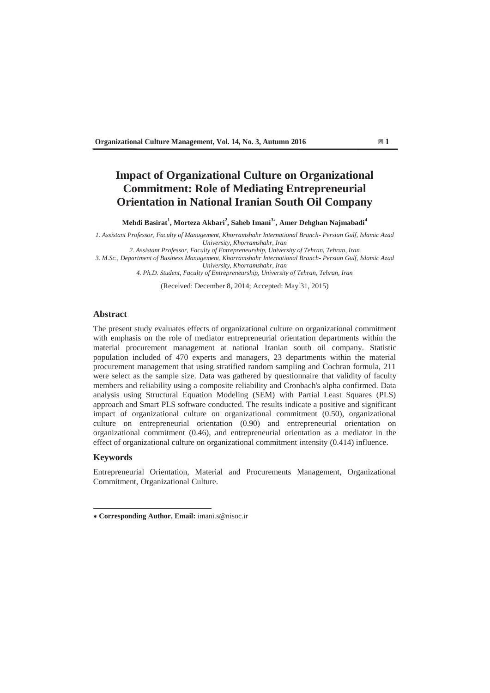# **Impact of Organizational Culture on Organizational Commitment: Role of Mediating Entrepreneurial Orientation in National Iranian South Oil Company**

**Mehdi Basirat<sup>1</sup> , Morteza Akbari<sup>2</sup> , Saheb Imani<sup>3</sup> , Amer Dehghan Najmabadi<sup>4</sup>**

*1. Assistant Professor, Faculty of Management, Khorramshahr International Branch- Persian Gulf, Islamic Azad University, Khorramshahr, Iran* 

*2. Assistant Professor, Faculty of Entrepreneurship, University of Tehran, Tehran, Iran* 

*3. M.Sc., Department of Business Management, Khorramshahr International Branch- Persian Gulf, Islamic Azad University, Khorramshahr, Iran* 

*4. Ph.D. Student, Faculty of Entrepreneurship, University of Tehran, Tehran, Iran*

(Received: December 8, 2014; Accepted: May 31, 2015)

#### **Abstract**

The present study evaluates effects of organizational culture on organizational commitment with emphasis on the role of mediator entrepreneurial orientation departments within the material procurement management at national Iranian south oil company. Statistic population included of 470 experts and managers, 23 departments within the material procurement management that using stratified random sampling and Cochran formula, 211 were select as the sample size. Data was gathered by questionnaire that validity of faculty members and reliability using a composite reliability and Cronbach's alpha confirmed. Data analysis using Structural Equation Modeling (SEM) with Partial Least Squares (PLS) approach and Smart PLS software conducted. The results indicate a positive and significant impact of organizational culture on organizational commitment (0.50), organizational culture on entrepreneurial orientation (0.90) and entrepreneurial orientation on organizational commitment (0.46), and entrepreneurial orientation as a mediator in the effect of organizational culture on organizational commitment intensity (0.414) influence.

### **Keywords**

Entrepreneurial Orientation, Material and Procurements Management, Organizational Commitment, Organizational Culture.

 **Corresponding Author, Email:** imani.s@nisoc.ir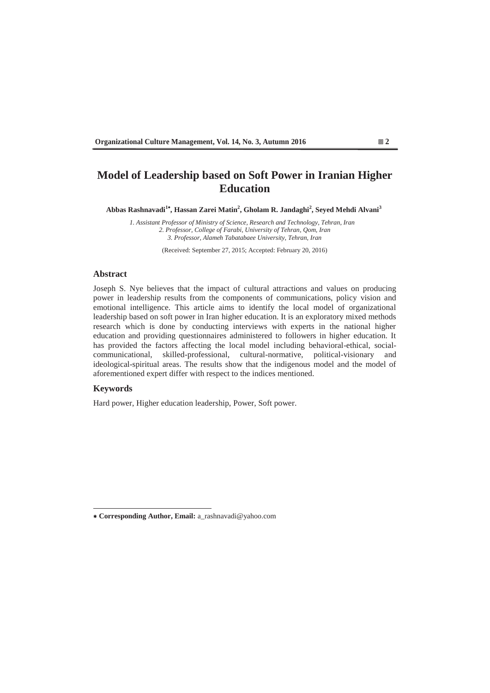# **Model of Leadership based on Soft Power in Iranian Higher Education**

Abbas Rashnavadi<sup>1</sup>\*, Hassan Zarei Matin<sup>2</sup>, Gholam R. Jandaghi<sup>2</sup>, Seyed Mehdi Alvani<sup>3</sup>

*1. Assistant Professor of Ministry of Science, Research and Technology, Tehran, Iran 2. Professor, College of Farabi, University of Tehran, Qom, Iran 3. Professor, Alameh Tabatabaee University, Tehran, Iran* 

(Received: September 27, 2015; Accepted: February 20, 2016)

#### **Abstract**

Joseph S. Nye believes that the impact of cultural attractions and values on producing power in leadership results from the components of communications, policy vision and emotional intelligence. This article aims to identify the local model of organizational leadership based on soft power in Iran higher education. It is an exploratory mixed methods research which is done by conducting interviews with experts in the national higher education and providing questionnaires administered to followers in higher education. It has provided the factors affecting the local model including behavioral-ethical, socialcommunicational, skilled-professional, cultural-normative, political-visionary and ideological-spiritual areas. The results show that the indigenous model and the model of aforementioned expert differ with respect to the indices mentioned.

#### **Keywords**

Hard power, Higher education leadership, Power, Soft power.

 **Corresponding Author, Email:** a\_rashnavadi@yahoo.com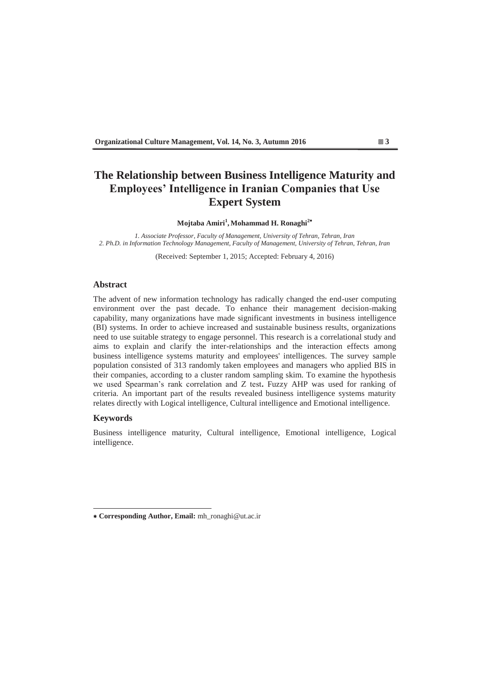# **The Relationship between Business Intelligence Maturity and Employees' Intelligence in Iranian Companies that Use Expert System**

**Mojtaba Amiri<sup>1</sup> , Mohammad H. Ronaghi<sup>2</sup>**

*1. Associate Professor, Faculty of Management, University of Tehran, Tehran, Iran 2. Ph.D. in Information Technology Management, Faculty of Management, University of Tehran, Tehran, Iran* 

(Received: September 1, 2015; Accepted: February 4, 2016)

## **Abstract**

The advent of new information technology has radically changed the end-user computing environment over the past decade. To enhance their management decision-making capability, many organizations have made significant investments in business intelligence (BI) systems. In order to achieve increased and sustainable business results, organizations need to use suitable strategy to engage personnel. This research is a correlational study and aims to explain and clarify the inter-relationships and the interaction effects among business intelligence systems maturity and employees' intelligences. The survey sample population consisted of 313 randomly taken employees and managers who applied BIS in their companies, according to a cluster random sampling skim. To examine the hypothesis we used Spearman's rank correlation and Z test. Fuzzy AHP was used for ranking of criteria. An important part of the results revealed business intelligence systems maturity relates directly with Logical intelligence, Cultural intelligence and Emotional intelligence.

### **Keywords**

Business intelligence maturity, Cultural intelligence, Emotional intelligence, Logical intelligence.

 **Corresponding Author, Email:** mh\_ronaghi@ut.ac.ir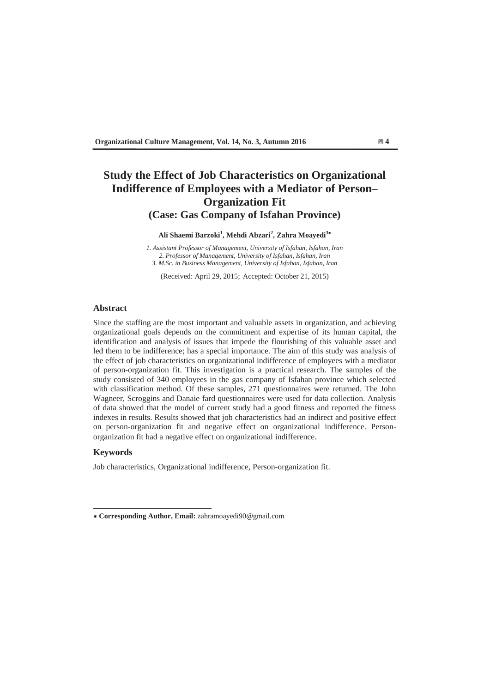# **Study the Effect of Job Characteristics on Organizational**  Indifference of Employees with a Mediator of Person-**Organization Fit (Case: Gas Company of Isfahan Province)**

**Ali Shaemi Barzoki<sup>1</sup> , Mehdi Abzari<sup>2</sup> , Zahra Moayedi<sup>3</sup>**

*1. Assistant Professor of Management, University of Isfahan, Isfahan, Iran 2. Professor of Management, University of Isfahan, Isfahan, Iran 3. M.Sc. in Business Management, University of Isfahan, Isfahan, Iran* 

(Received: April 29, 2015; Accepted: October 21, 2015)

### **Abstract**

Since the staffing are the most important and valuable assets in organization, and achieving organizational goals depends on the commitment and expertise of its human capital, the identification and analysis of issues that impede the flourishing of this valuable asset and led them to be indifference; has a special importance. The aim of this study was analysis of the effect of job characteristics on organizational indifference of employees with a mediator of person-organization fit. This investigation is a practical research. The samples of the study consisted of 340 employees in the gas company of Isfahan province which selected with classification method. Of these samples, 271 questionnaires were returned. The John Wagneer, Scroggins and Danaie fard questionnaires were used for data collection. Analysis of data showed that the model of current study had a good fitness and reported the fitness indexes in results. Results showed that job characteristics had an indirect and positive effect on person-organization fit and negative effect on organizational indifference. Personorganization fit had a negative effect on organizational indifference.

#### **Keywords**

Job characteristics, Organizational indifference, Person-organization fit.

 **Corresponding Author, Email:** zahramoayedi90@gmail.com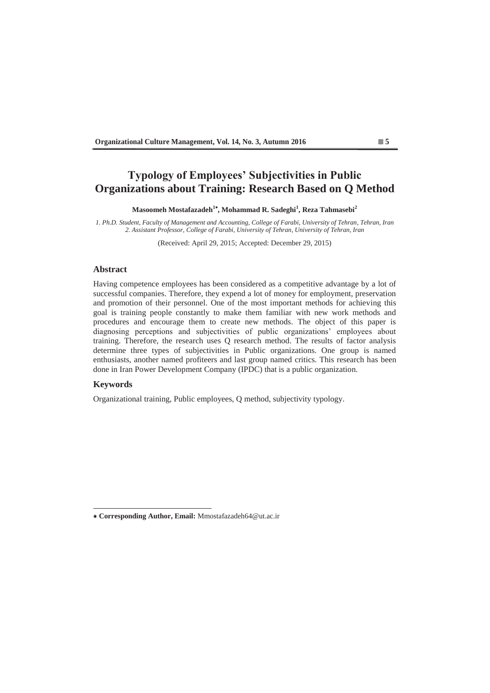# **Typology of Employees' Subjectivities in Public Organizations about Training: Research Based on Q Method**

Masoomeh Mostafazadeh<sup>1\*</sup>, Mohammad R. Sadeghi<sup>1</sup>, Reza Tahmasebi<sup>2</sup>

*1. Ph.D. Student, Faculty of Management and Accounting, College of Farabi, University of Tehran, Tehran, Iran 2. Assistant Professor, College of Farabi, University of Tehran, University of Tehran, Iran* 

(Received: April 29, 2015; Accepted: December 29, 2015)

#### **Abstract**

Having competence employees has been considered as a competitive advantage by a lot of successful companies. Therefore, they expend a lot of money for employment, preservation and promotion of their personnel. One of the most important methods for achieving this goal is training people constantly to make them familiar with new work methods and procedures and encourage them to create new methods. The object of this paper is diagnosing perceptions and subjectivities of public organizations' employees about training. Therefore, the research uses Q research method. The results of factor analysis determine three types of subjectivities in Public organizations. One group is named enthusiasts, another named profiteers and last group named critics. This research has been done in Iran Power Development Company (IPDC) that is a public organization.

### **Keywords**

Organizational training, Public employees, Q method, subjectivity typology.

 **Corresponding Author, Email:** Mmostafazadeh64@ut.ac.ir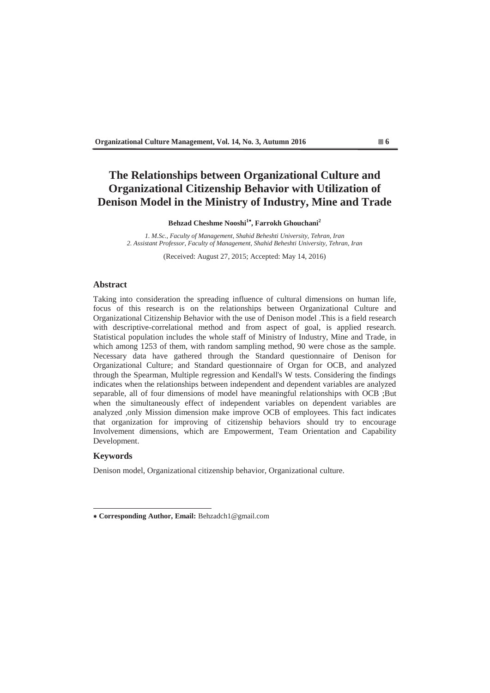# **The Relationships between Organizational Culture and Organizational Citizenship Behavior with Utilization of Denison Model in the Ministry of Industry, Mine and Trade**

**Behzad Cheshme Nooshi<sup>1</sup> , Farrokh Ghouchani<sup>2</sup>**

*1. M.Sc., Faculty of Management, Shahid Beheshti University, Tehran, Iran 2. Assistant Professor, Faculty of Management, Shahid Beheshti University, Tehran, Iran* 

(Received: August 27, 2015; Accepted: May 14, 2016)

## **Abstract**

Taking into consideration the spreading influence of cultural dimensions on human life, focus of this research is on the relationships between Organizational Culture and Organizational Citizenship Behavior with the use of Denison model .This is a field research with descriptive-correlational method and from aspect of goal, is applied research. Statistical population includes the whole staff of Ministry of Industry, Mine and Trade, in which among 1253 of them, with random sampling method, 90 were chose as the sample. Necessary data have gathered through the Standard questionnaire of Denison for Organizational Culture; and Standard questionnaire of Organ for OCB, and analyzed through the Spearman, Multiple regression and Kendall's W tests. Considering the findings indicates when the relationships between independent and dependent variables are analyzed separable, all of four dimensions of model have meaningful relationships with OCB ;But when the simultaneously effect of independent variables on dependent variables are analyzed ,only Mission dimension make improve OCB of employees. This fact indicates that organization for improving of citizenship behaviors should try to encourage Involvement dimensions, which are Empowerment, Team Orientation and Capability Development.

## **Keywords**

Denison model, Organizational citizenship behavior, Organizational culture.

 **Corresponding Author, Email:** Behzadch1@gmail.com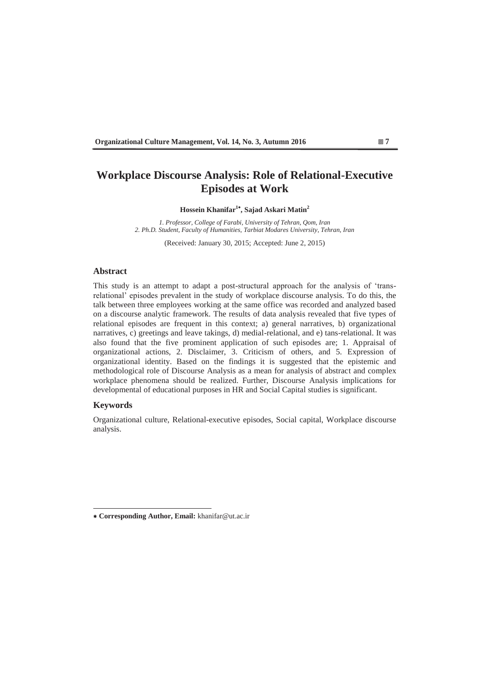# **Workplace Discourse Analysis: Role of Relational-Executive Episodes at Work**

### **Hossein Khanifar1 , Sajad Askari Matin<sup>2</sup>**

*1. Professor, College of Farabi, University of Tehran, Qom, Iran 2. Ph.D. Student, Faculty of Humanities, Tarbiat Modares University, Tehran, Iran* 

(Received: January 30, 2015; Accepted: June 2, 2015)

#### **Abstract**

This study is an attempt to adapt a post-structural approach for the analysis of 'transrelational' episodes prevalent in the study of workplace discourse analysis. To do this, the talk between three employees working at the same office was recorded and analyzed based on a discourse analytic framework. The results of data analysis revealed that five types of relational episodes are frequent in this context; a) general narratives, b) organizational narratives, c) greetings and leave takings, d) medial-relational, and e) tans-relational. It was also found that the five prominent application of such episodes are; 1. Appraisal of organizational actions, 2. Disclaimer, 3. Criticism of others, and 5. Expression of organizational identity. Based on the findings it is suggested that the epistemic and methodological role of Discourse Analysis as a mean for analysis of abstract and complex workplace phenomena should be realized. Further, Discourse Analysis implications for developmental of educational purposes in HR and Social Capital studies is significant.

#### **Keywords**

Organizational culture, Relational-executive episodes, Social capital, Workplace discourse analysis.

 **Corresponding Author, Email:** khanifar@ut.ac.ir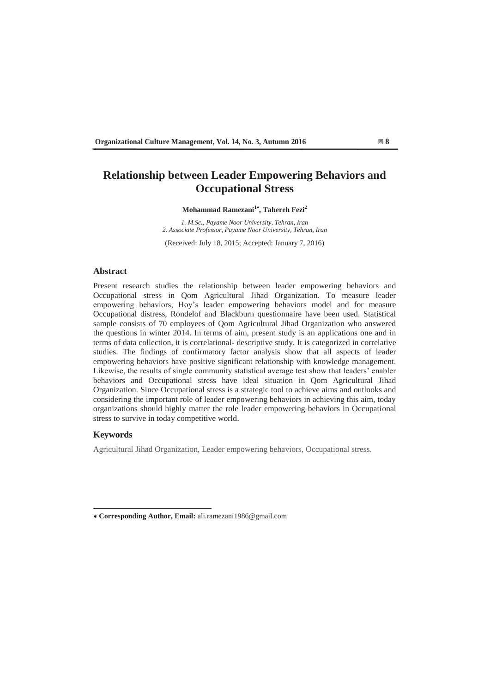# **Relationship between Leader Empowering Behaviors and Occupational Stress**

#### **Mohammad Ramezani<sup>1</sup> , Tahereh Fezi<sup>2</sup>**

*1. M.Sc., Payame Noor University, Tehran, Iran 2. Associate Professor, Payame Noor University, Tehran, Iran*

(Received: July 18, 2015; Accepted: January 7, 2016)

#### **Abstract**

Present research studies the relationship between leader empowering behaviors and Occupational stress in Qom Agricultural Jihad Organization. To measure leader empowering behaviors, Hoy's leader empowering behaviors model and for measure Occupational distress, Rondelof and Blackburn questionnaire have been used. Statistical sample consists of 70 employees of Qom Agricultural Jihad Organization who answered the questions in winter 2014. In terms of aim, present study is an applications one and in terms of data collection, it is correlational- descriptive study. It is categorized in correlative studies. The findings of confirmatory factor analysis show that all aspects of leader empowering behaviors have positive significant relationship with knowledge management. Likewise, the results of single community statistical average test show that leaders' enabler behaviors and Occupational stress have ideal situation in Qom Agricultural Jihad Organization. Since Occupational stress is a strategic tool to achieve aims and outlooks and considering the important role of leader empowering behaviors in achieving this aim, today organizations should highly matter the role leader empowering behaviors in Occupational stress to survive in today competitive world.

#### **Keywords**

Agricultural Jihad Organization, Leader empowering behaviors, Occupational stress.

 **Corresponding Author, Email:** ali.ramezani1986@gmail.com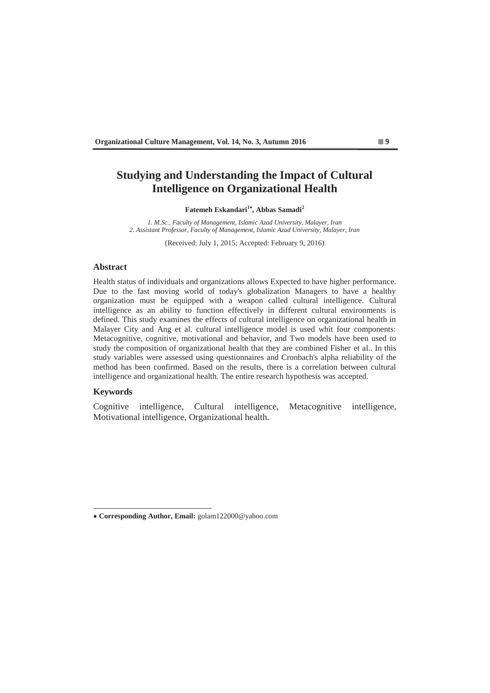## **Studying and Understanding the Impact of Cultural Intelligence on Organizational Health**

## **Fatemeh Eskandari<sup>1</sup> , Abbas Samadi<sup>2</sup>**

*1. M.Sc., Faculty of Management, Islamic Azad University, Malayer, Iran 2. Assistant Professor, Faculty of Management, Islamic Azad University, Malayer, Iran* 

(Received: July 1, 2015; Accepted: February 9, 2016)

## **Abstract**

Health status of individuals and organizations allows Expected to have higher performance. Due to the fast moving world of today's globalization Managers to have a healthy organization must be equipped with a weapon called cultural intelligence. Cultural intelligence as an ability to function effectively in different cultural environments is defined. This study examines the effects of cultural intelligence on organizational health in Malayer City and Ang et al. cultural intelligence model is used whit four components: Metacognitive, cognitive, motivational and behavior, and Two models have been used to study the composition of organizational health that they are combined Fisher et al.. In this study variables were assessed using questionnaires and Cronbach's alpha reliability of the method has been confirmed. Based on the results, there is a correlation between cultural intelligence and organizational health. The entire research hypothesis was accepted.

## **Keywords**

Cognitive intelligence, Cultural intelligence, Metacognitive intelligence, Motivational intelligence, Organizational health.

 **Corresponding Author, Email:** golam122000@yahoo.com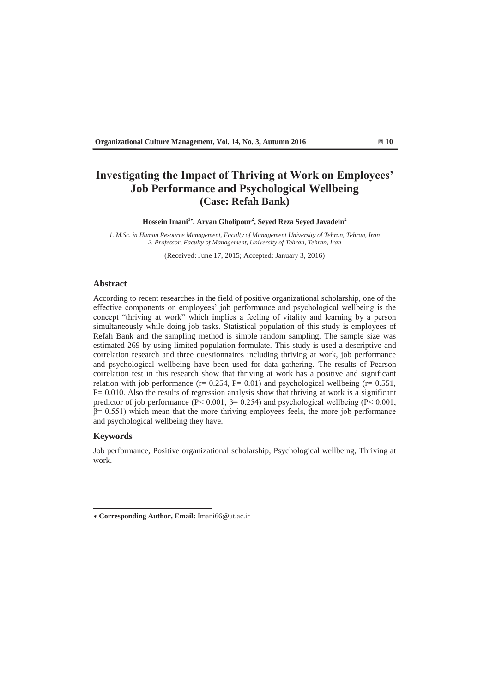# **Investigating the Impact of Thriving at Work on Employees' Job Performance and Psychological Wellbeing (Case: Refah Bank)**

**Hossein Imani<sup>1</sup> , Aryan Gholipour<sup>2</sup> , Seyed Reza Seyed Javadein<sup>2</sup>**

*1. M.Sc. in Human Resource Management, Faculty of Management University of Tehran, Tehran, Iran 2. Professor, Faculty of Management, University of Tehran, Tehran, Iran* 

(Received: June 17, 2015; Accepted: January 3, 2016)

#### **Abstract**

According to recent researches in the field of positive organizational scholarship, one of the effective components on employees' job performance and psychological wellbeing is the concept "thriving at work" which implies a feeling of vitality and learning by a person simultaneously while doing job tasks. Statistical population of this study is employees of Refah Bank and the sampling method is simple random sampling. The sample size was estimated 269 by using limited population formulate. This study is used a descriptive and correlation research and three questionnaires including thriving at work, job performance and psychological wellbeing have been used for data gathering. The results of Pearson correlation test in this research show that thriving at work has a positive and significant relation with job performance ( $r = 0.254$ ,  $P = 0.01$ ) and psychological wellbeing ( $r = 0.551$ ,  $P= 0.010$ . Also the results of regression analysis show that thriving at work is a significant predictor of job performance ( $P < 0.001$ ,  $\beta = 0.254$ ) and psychological wellbeing ( $P < 0.001$ ,  $\beta$ = 0.551) which mean that the more thriving employees feels, the more job performance and psychological wellbeing they have.

## **Keywords**

Job performance, Positive organizational scholarship, Psychological wellbeing, Thriving at work.

 **Corresponding Author, Email:** Imani66@ut.ac.ir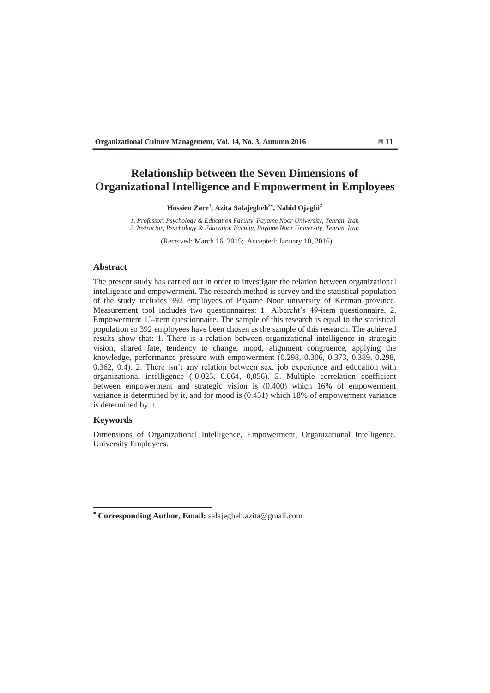# **Relationship between the Seven Dimensions of Organizational Intelligence and Empowerment in Employees**

**Hossien Zare<sup>1</sup> , Azita Salajegheh<sup>2</sup> , Nahid Ojaghi<sup>2</sup>**

*1. Professor, Psychology & Education Faculty, Payame Noor University, Tehran, Iran 2. Instructor, Psychology & Education Faculty, Payame Noor University, Tehran, Iran* 

(Received: March 16, 2015; Accepted: January 10, 2016)

#### **Abstract**

The present study has carried out in order to investigate the relation between organizational intelligence and empowerment. The research method is survey and the statistical population of the study includes 392 employees of Payame Noor university of Kerman province. Measurement tool includes two questionnaires: 1. Albercht's 49-item questionnaire, 2. Empowerment 15-item questionnaire. The sample of this research is equal to the statistical population so 392 employees have been chosen as the sample of this research. The achieved results show that: 1. There is a relation between organizational intelligence in strategic vision, shared fate, tendency to change, mood, alignment congruence, applying the knowledge, performance pressure with empowerment (0.298, 0.306, 0.373, 0.389, 0.298, 0.362, 0.4). 2. There isn't any relation between sex, job experience and education with organizational intelligence (-0.025, 0.064, 0,056). 3. Multiple correlation coefficient between empowerment and strategic vision is (0.400) which 16% of empowerment variance is determined by it, and for mood is (0.431) which 18% of empowerment variance is determined by it.

### **Keywords**

Dimensions of Organizational Intelligence, Empowerment, Organizational Intelligence, University Employees.

 **Corresponding Author, Email:** salajegheh.azita@gmail.com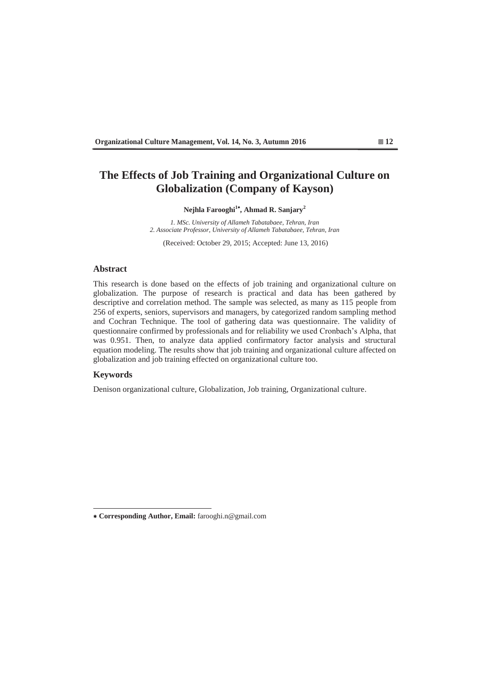# **The Effects of Job Training and Organizational Culture on Globalization (Company of Kayson)**

## Nejhla Farooghi<sup>1\*</sup>, Ahmad R. Sanjary<sup>2</sup>

*1. MSc. University of Allameh Tabatabaee, Tehran, Iran 2. Associate Professor, University of Allameh Tabatabaee, Tehran, Iran* 

(Received: October 29, 2015; Accepted: June 13, 2016)

## **Abstract**

This research is done based on the effects of job training and organizational culture on globalization. The purpose of research is practical and data has been gathered by descriptive and correlation method. The sample was selected, as many as 115 people from 256 of experts, seniors, supervisors and managers, by categorized random sampling method and Cochran Technique. The tool of gathering data was questionnaire. The validity of questionnaire confirmed by professionals and for reliability we used Cronbach's Alpha, that was 0.951. Then, to analyze data applied confirmatory factor analysis and structural equation modeling. The results show that job training and organizational culture affected on globalization and job training effected on organizational culture too.

## **Keywords**

Denison organizational culture, Globalization, Job training, Organizational culture.

 **Corresponding Author, Email:** farooghi.n@gmail.com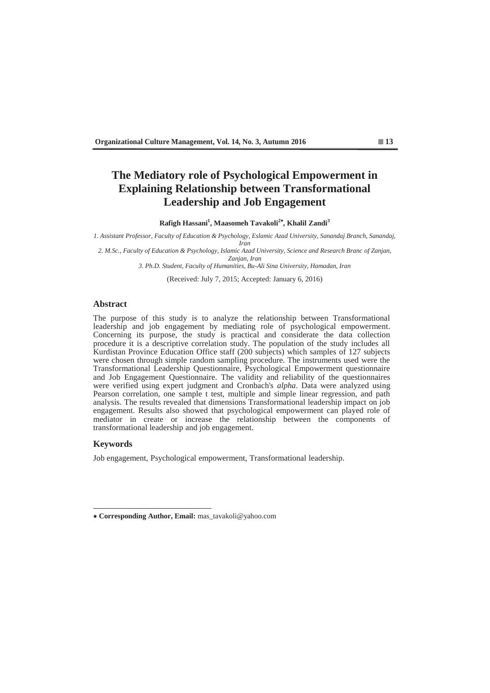# **The Mediatory role of Psychological Empowerment in Explaining Relationship between Transformational Leadership and Job Engagement**

 $R$ afigh Hassani<sup>1</sup>, Maasomeh Tavakoli<sup>2\*</sup>, Khalil Zandi<sup>3</sup>

*1. Assistant Professor, Faculty of Education & Psychology, Eslamic Azad University, Sanandaj Branch, Sanandaj, Iran* 

*2. M.Sc., Faculty of Education & Psychology, Islamic Azad University, Science and Research Branc of Zanjan, Zanjan, Iran* 

*3. Ph.D. Student, Faculty of Humanities, Bu-Ali Sina University, Hamadan, Iran* 

(Received: July 7, 2015; Accepted: January 6, 2016)

#### **Abstract**

The purpose of this study is to analyze the relationship between Transformational leadership and job engagement by mediating role of psychological empowerment. Concerning its purpose, the study is practical and considerate the data collection procedure it is a descriptive correlation study. The population of the study includes all Kurdistan Province Education Office staff (200 subjects) which samples of 127 subjects were chosen through simple random sampling procedure. The instruments used were the Transformational Leadership Questionnaire, Psychological Empowerment questionnaire and Job Engagement Questionnaire. The validity and reliability of the questionnaires were verified using expert judgment and Cronbach's *alpha*. Data were analyzed using Pearson correlation, one sample t test, multiple and simple linear regression, and path analysis. The results revealed that dimensions Transformational leadership impact on job engagement. Results also showed that psychological empowerment can played role of mediator in create or increase the relationship between the components of transformational leadership and job engagement.

#### **Keywords**

Job engagement, Psychological empowerment, Transformational leadership.

 **Corresponding Author, Email:** mas\_tavakoli@yahoo.com